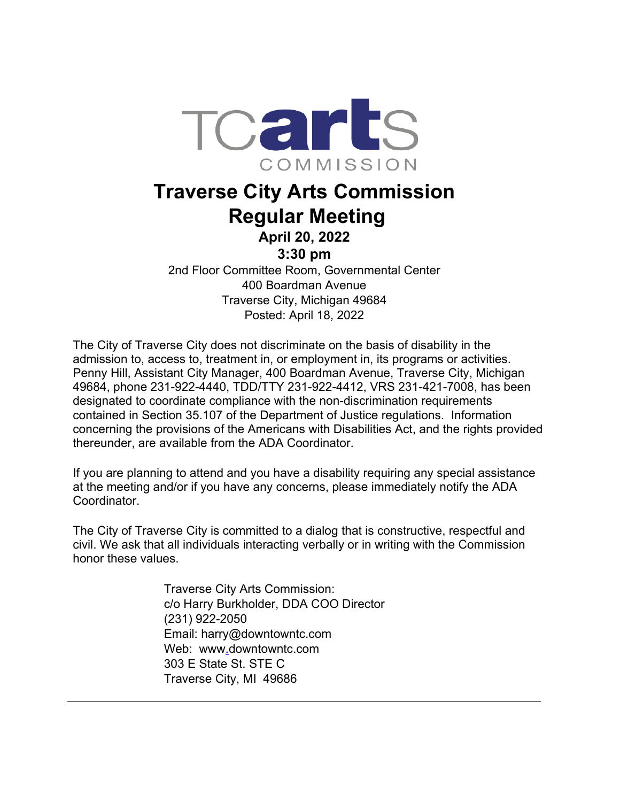

## **Traverse City Arts Commission Regular Meeting**

**April 20, 2022**

**3:30 pm**

2nd Floor Committee Room, Governmental Center 400 Boardman Avenue Traverse City, Michigan 49684 Posted: April 18, 2022

The City of Traverse City does not discriminate on the basis of disability in the admission to, access to, treatment in, or employment in, its programs or activities. Penny Hill, Assistant City Manager, 400 Boardman Avenue, Traverse City, Michigan 49684, phone 231-922-4440, TDD/TTY 231-922-4412, VRS 231-421-7008, has been designated to coordinate compliance with the non-discrimination requirements contained in Section 35.107 of the Department of Justice regulations. Information concerning the provisions of the Americans with Disabilities Act, and the rights provided thereunder, are available from the ADA Coordinator.

If you are planning to attend and you have a disability requiring any special assistance at the meeting and/or if you have any concerns, please immediately notify the ADA Coordinator.

The City of Traverse City is committed to a dialog that is constructive, respectful and civil. We ask that all individuals interacting verbally or in writing with the Commission honor these values.

> Traverse City Arts Commission: c/o Harry Burkholder, DDA COO Director (231) 922-2050 Email: harry@downtowntc.com Web: www[.](http://www.traversecitymi.gov/)downtowntc.com 303 E State St. STE C Traverse City, MI 49686